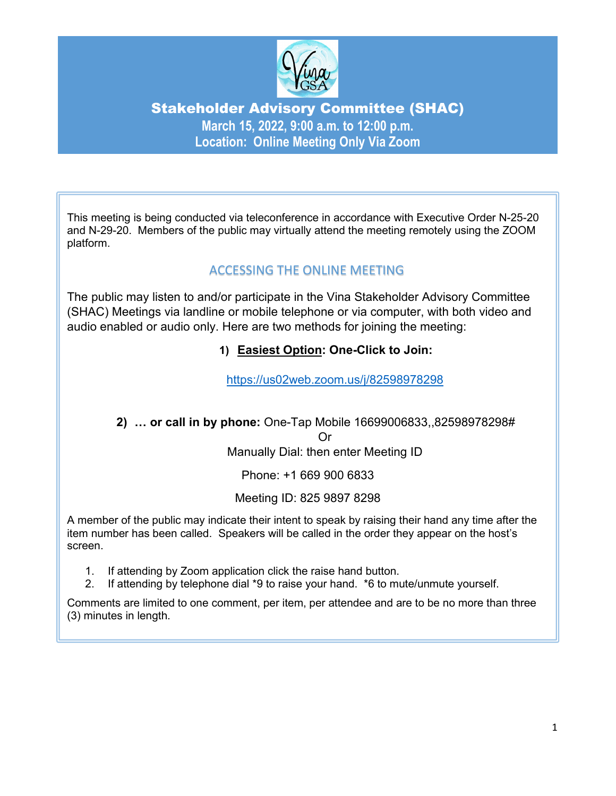

# Stakeholder Advisory Committee (SHAC) **March 15, 2022, 9:00 a.m. to 12:00 p.m. Location: Online Meeting Only Via Zoom**

This meeting is being conducted via teleconference in accordance with Executive Order N-25-20 and N-29-20. Members of the public may virtually attend the meeting remotely using the ZOOM platform.

## ACCESSING THE ONLINE MEETING

The public may listen to and/or participate in the Vina Stakeholder Advisory Committee (SHAC) Meetings via landline or mobile telephone or via computer, with both video and audio enabled or audio only. Here are two methods for joining the meeting:

## **1) Easiest Option: One-Click to Join:**

<https://us02web.zoom.us/j/82598978298>

### **2) … or call in by phone:** One-Tap Mobile 16699006833,,82598978298# Or Manually Dial: then enter Meeting ID

Phone: +1 669 900 6833

Meeting ID: 825 9897 8298

A member of the public may indicate their intent to speak by raising their hand any time after the item number has been called. Speakers will be called in the order they appear on the host's screen.

- 1. If attending by Zoom application click the raise hand button.
- 2. If attending by telephone dial \*9 to raise your hand. \*6 to mute/unmute yourself.

Comments are limited to one comment, per item, per attendee and are to be no more than three (3) minutes in length.